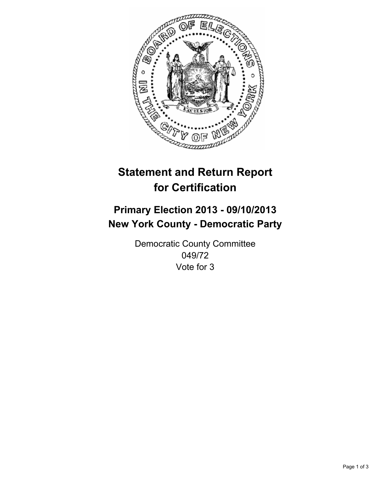

# **Statement and Return Report for Certification**

## **Primary Election 2013 - 09/10/2013 New York County - Democratic Party**

Democratic County Committee 049/72 Vote for 3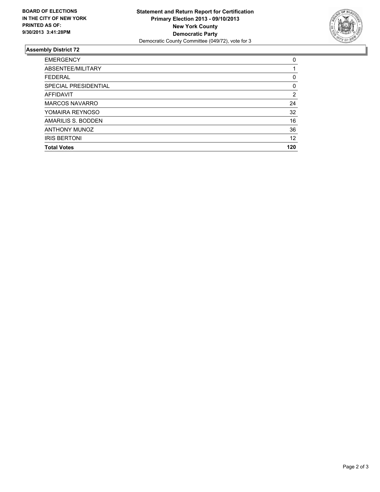

### **Assembly District 72**

| <b>Total Votes</b>    | 120 |
|-----------------------|-----|
| <b>IRIS BERTONI</b>   | 12  |
| <b>ANTHONY MUNOZ</b>  | 36  |
| AMARILIS S. BODDEN    | 16  |
| YOMAIRA REYNOSO       | 32  |
| <b>MARCOS NAVARRO</b> | 24  |
| <b>AFFIDAVIT</b>      | 2   |
| SPECIAL PRESIDENTIAL  | 0   |
| <b>FEDERAL</b>        | 0   |
| ABSENTEE/MILITARY     |     |
| <b>EMERGENCY</b>      | 0   |